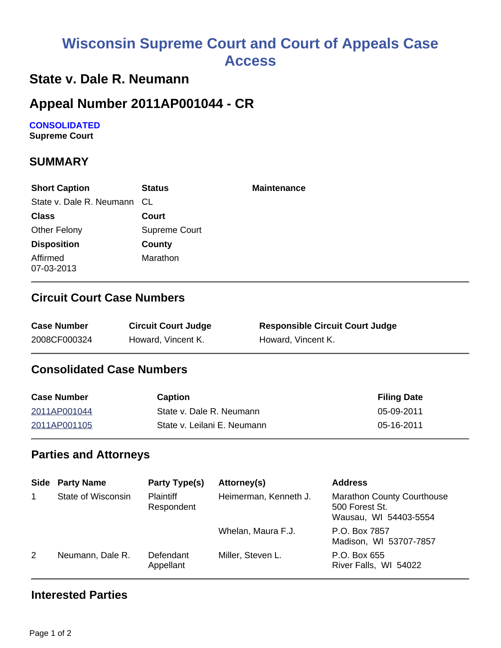# **Wisconsin Supreme Court and Court of Appeals Case Access**

### **State v. Dale R. Neumann**

## **Appeal Number 2011AP001044 - CR**

## **CONSOLIDATED**

**Supreme Court** 

#### **SUMMARY**

| <b>Short Caption</b>        | <b>Status</b> | <b>Maintenance</b> |
|-----------------------------|---------------|--------------------|
| State v. Dale R. Neumann CL |               |                    |
| <b>Class</b>                | Court         |                    |
| <b>Other Felony</b>         | Supreme Court |                    |
| <b>Disposition</b>          | County        |                    |
| Affirmed<br>07-03-2013      | Marathon      |                    |

#### **Circuit Court Case Numbers**

| <b>Case Number</b> | <b>Circuit Court Judge</b> | <b>Responsible Circuit Court Judge</b> |
|--------------------|----------------------------|----------------------------------------|
| 2008CF000324       | Howard, Vincent K.         | Howard, Vincent K.                     |

#### **Consolidated Case Numbers**

| <b>Case Number</b> | Caption                     | <b>Filing Date</b> |
|--------------------|-----------------------------|--------------------|
| 2011AP001044       | State v. Dale R. Neumann    | 05-09-2011         |
| 2011AP001105       | State v. Leilani E. Neumann | 05-16-2011         |

#### **Parties and Attorneys**

|   | <b>Side Party Name</b> | Party Type(s)                  | Attorney(s)           | <b>Address</b>                                                               |
|---|------------------------|--------------------------------|-----------------------|------------------------------------------------------------------------------|
|   | State of Wisconsin     | <b>Plaintiff</b><br>Respondent | Heimerman, Kenneth J. | <b>Marathon County Courthouse</b><br>500 Forest St.<br>Wausau, WI 54403-5554 |
|   |                        |                                | Whelan, Maura F.J.    | P.O. Box 7857<br>Madison, WI 53707-7857                                      |
| 2 | Neumann, Dale R.       | Defendant<br>Appellant         | Miller, Steven L.     | P.O. Box 655<br>River Falls, WI 54022                                        |

#### **Interested Parties**